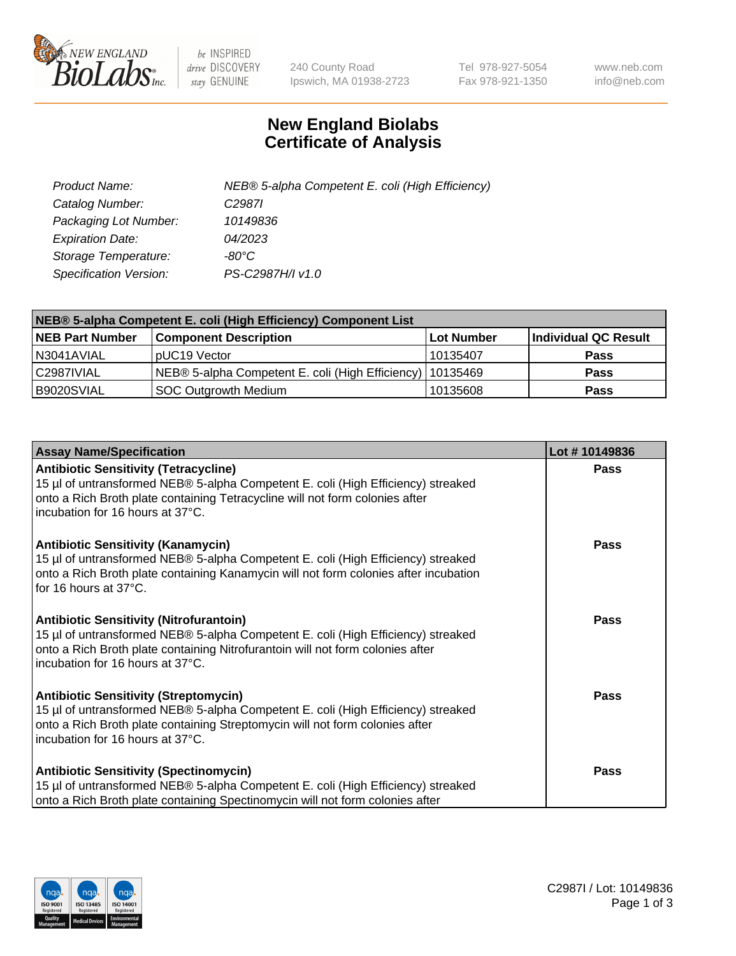

 $be$  INSPIRED drive DISCOVERY stay GENUINE

240 County Road Ipswich, MA 01938-2723 Tel 978-927-5054 Fax 978-921-1350 www.neb.com info@neb.com

## **New England Biolabs Certificate of Analysis**

| Product Name:           | NEB® 5-alpha Competent E. coli (High Efficiency) |
|-------------------------|--------------------------------------------------|
| Catalog Number:         | C <sub>2987</sub>                                |
| Packaging Lot Number:   | 10149836                                         |
| <b>Expiration Date:</b> | 04/2023                                          |
| Storage Temperature:    | -80°C                                            |
| Specification Version:  | PS-C2987H/I v1.0                                 |

| NEB® 5-alpha Competent E. coli (High Efficiency) Component List |                                                             |            |                      |  |
|-----------------------------------------------------------------|-------------------------------------------------------------|------------|----------------------|--|
| <b>NEB Part Number</b>                                          | <b>Component Description</b>                                | Lot Number | Individual QC Result |  |
| N3041AVIAL                                                      | pUC19 Vector                                                | 10135407   | <b>Pass</b>          |  |
| C2987IVIAL                                                      | NEB® 5-alpha Competent E. coli (High Efficiency)   10135469 |            | <b>Pass</b>          |  |
| B9020SVIAL                                                      | <b>SOC Outgrowth Medium</b>                                 | 10135608   | <b>Pass</b>          |  |

| <b>Assay Name/Specification</b>                                                                                                                                                                                                                          | Lot #10149836 |
|----------------------------------------------------------------------------------------------------------------------------------------------------------------------------------------------------------------------------------------------------------|---------------|
| <b>Antibiotic Sensitivity (Tetracycline)</b><br>15 µl of untransformed NEB® 5-alpha Competent E. coli (High Efficiency) streaked<br>onto a Rich Broth plate containing Tetracycline will not form colonies after<br>incubation for 16 hours at 37°C.     | Pass          |
| <b>Antibiotic Sensitivity (Kanamycin)</b><br>15 µl of untransformed NEB® 5-alpha Competent E. coli (High Efficiency) streaked<br>onto a Rich Broth plate containing Kanamycin will not form colonies after incubation<br>for 16 hours at 37°C.           | Pass          |
| <b>Antibiotic Sensitivity (Nitrofurantoin)</b><br>15 µl of untransformed NEB® 5-alpha Competent E. coli (High Efficiency) streaked<br>onto a Rich Broth plate containing Nitrofurantoin will not form colonies after<br>incubation for 16 hours at 37°C. | <b>Pass</b>   |
| <b>Antibiotic Sensitivity (Streptomycin)</b><br>15 µl of untransformed NEB® 5-alpha Competent E. coli (High Efficiency) streaked<br>onto a Rich Broth plate containing Streptomycin will not form colonies after<br>incubation for 16 hours at 37°C.     | <b>Pass</b>   |
| <b>Antibiotic Sensitivity (Spectinomycin)</b><br>15 µl of untransformed NEB® 5-alpha Competent E. coli (High Efficiency) streaked<br>onto a Rich Broth plate containing Spectinomycin will not form colonies after                                       | Pass          |

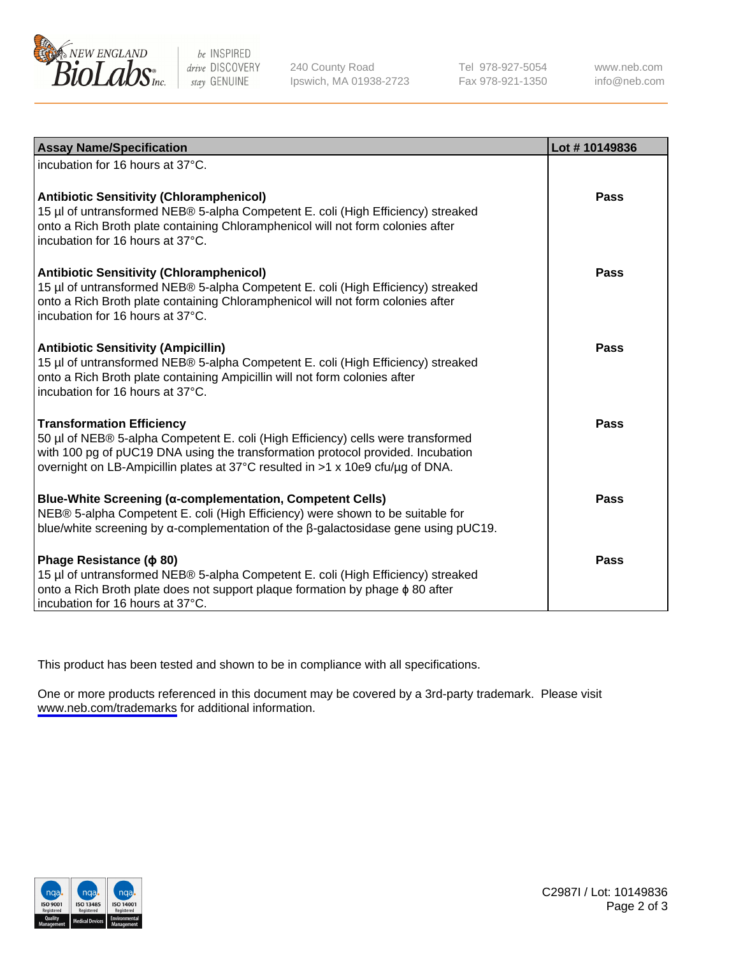

be INSPIRED drive DISCOVERY stay GENUINE

240 County Road Ipswich, MA 01938-2723 Tel 978-927-5054 Fax 978-921-1350

www.neb.com info@neb.com

| <b>Assay Name/Specification</b>                                                                                                                                                                                                                                                           | Lot #10149836 |
|-------------------------------------------------------------------------------------------------------------------------------------------------------------------------------------------------------------------------------------------------------------------------------------------|---------------|
| incubation for 16 hours at 37°C.                                                                                                                                                                                                                                                          |               |
| <b>Antibiotic Sensitivity (Chloramphenicol)</b><br>15 µl of untransformed NEB® 5-alpha Competent E. coli (High Efficiency) streaked<br>onto a Rich Broth plate containing Chloramphenicol will not form colonies after<br>incubation for 16 hours at 37°C.                                | Pass          |
| <b>Antibiotic Sensitivity (Chloramphenicol)</b><br>15 µl of untransformed NEB® 5-alpha Competent E. coli (High Efficiency) streaked<br>onto a Rich Broth plate containing Chloramphenicol will not form colonies after<br>incubation for 16 hours at 37°C.                                | Pass          |
| <b>Antibiotic Sensitivity (Ampicillin)</b><br>15 µl of untransformed NEB® 5-alpha Competent E. coli (High Efficiency) streaked<br>onto a Rich Broth plate containing Ampicillin will not form colonies after<br>incubation for 16 hours at 37°C.                                          | Pass          |
| <b>Transformation Efficiency</b><br>50 µl of NEB® 5-alpha Competent E. coli (High Efficiency) cells were transformed<br>with 100 pg of pUC19 DNA using the transformation protocol provided. Incubation<br>overnight on LB-Ampicillin plates at 37°C resulted in >1 x 10e9 cfu/ug of DNA. | Pass          |
| <b>Blue-White Screening (α-complementation, Competent Cells)</b><br>NEB® 5-alpha Competent E. coli (High Efficiency) were shown to be suitable for<br>blue/white screening by $\alpha$ -complementation of the $\beta$ -galactosidase gene using pUC19.                                   | Pass          |
| Phage Resistance ( $\phi$ 80)<br>15 µl of untransformed NEB® 5-alpha Competent E. coli (High Efficiency) streaked<br>onto a Rich Broth plate does not support plaque formation by phage $\phi$ 80 after<br>incubation for 16 hours at 37°C.                                               | Pass          |

This product has been tested and shown to be in compliance with all specifications.

One or more products referenced in this document may be covered by a 3rd-party trademark. Please visit <www.neb.com/trademarks>for additional information.